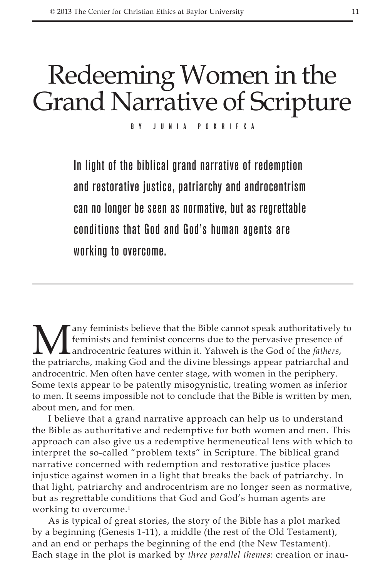# Redeeming Women in the Grand Narrative of Scripture

By Junia Pokrifka

In light of the biblical grand narrative of redemption and restorative justice, patriarchy and androcentrism can no longer be seen as normative, but as regrettable conditions that God and God's human agents are working to overcome.

Many feminists believe that the Bible cannot speak authoritatively to<br>feminists and feminist concerns due to the pervasive presence of<br>androcentric features within it. Yahweh is the God of the *fathers*,<br>the patriarchs, ma feminists and feminist concerns due to the pervasive presence of androcentric features within it. Yahweh is the God of the *fathers*, the patriarchs, making God and the divine blessings appear patriarchal and androcentric. Men often have center stage, with women in the periphery. Some texts appear to be patently misogynistic, treating women as inferior to men. It seems impossible not to conclude that the Bible is written by men, about men, and for men.

I believe that a grand narrative approach can help us to understand the Bible as authoritative and redemptive for both women and men. This approach can also give us a redemptive hermeneutical lens with which to interpret the so-called "problem texts" in Scripture. The biblical grand narrative concerned with redemption and restorative justice places injustice against women in a light that breaks the back of patriarchy. In that light, patriarchy and androcentrism are no longer seen as normative, but as regrettable conditions that God and God's human agents are working to overcome.<sup>1</sup>

As is typical of great stories, the story of the Bible has a plot marked by a beginning (Genesis 1-11), a middle (the rest of the Old Testament), and an end or perhaps the beginning of the end (the New Testament). Each stage in the plot is marked by *three parallel themes*: creation or inau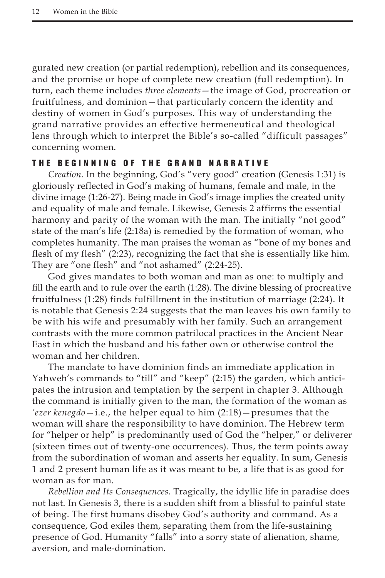gurated new creation (or partial redemption), rebellion and its consequences, and the promise or hope of complete new creation (full redemption). In turn, each theme includes *three elements*—the image of God, procreation or fruitfulness, and dominion—that particularly concern the identity and destiny of women in God's purposes. This way of understanding the grand narrative provides an effective hermeneutical and theological lens through which to interpret the Bible's so-called "difficult passages" concerning women.

#### THE BEGINNING OF THE GRAND NARRATIVE

*Creation.* In the beginning, God's "very good" creation (Genesis 1:31) is gloriously reflected in God's making of humans, female and male, in the divine image (1:26-27). Being made in God's image implies the created unity and equality of male and female. Likewise, Genesis 2 affirms the essential harmony and parity of the woman with the man. The initially "not good" state of the man's life (2:18a) is remedied by the formation of woman, who completes humanity. The man praises the woman as "bone of my bones and flesh of my flesh" (2:23), recognizing the fact that she is essentially like him. They are "one flesh" and "not ashamed" (2:24-25).

God gives mandates to both woman and man as one: to multiply and fill the earth and to rule over the earth (1:28). The divine blessing of procreative fruitfulness (1:28) finds fulfillment in the institution of marriage (2:24). It is notable that Genesis 2:24 suggests that the man leaves his own family to be with his wife and presumably with her family. Such an arrangement contrasts with the more common patrilocal practices in the Ancient Near East in which the husband and his father own or otherwise control the woman and her children.

The mandate to have dominion finds an immediate application in Yahweh's commands to "till" and "keep" (2:15) the garden, which anticipates the intrusion and temptation by the serpent in chapter 3. Although the command is initially given to the man, the formation of the woman as *'ezer kenegdo*—i.e., the helper equal to him (2:18)—presumes that the woman will share the responsibility to have dominion. The Hebrew term for "helper or help" is predominantly used of God the "helper," or deliverer (sixteen times out of twenty-one occurrences). Thus, the term points away from the subordination of woman and asserts her equality. In sum, Genesis 1 and 2 present human life as it was meant to be, a life that is as good for woman as for man.

*Rebellion and Its Consequences.* Tragically, the idyllic life in paradise does not last. In Genesis 3, there is a sudden shift from a blissful to painful state of being. The first humans disobey God's authority and command. As a consequence, God exiles them, separating them from the life-sustaining presence of God. Humanity "falls" into a sorry state of alienation, shame, aversion, and male-domination.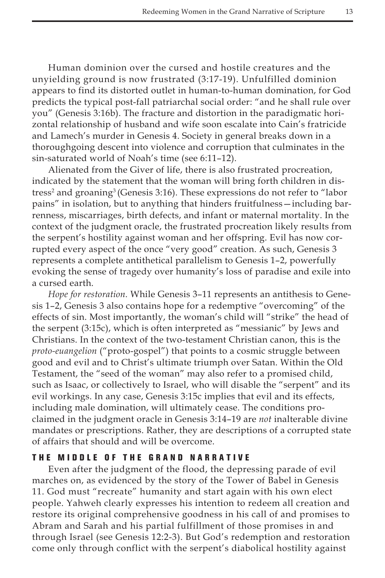Human dominion over the cursed and hostile creatures and the unyielding ground is now frustrated (3:17-19). Unfulfilled dominion appears to find its distorted outlet in human-to-human domination, for God predicts the typical post-fall patriarchal social order: "and he shall rule over you" (Genesis 3:16b). The fracture and distortion in the paradigmatic horizontal relationship of husband and wife soon escalate into Cain's fratricide and Lamech's murder in Genesis 4. Society in general breaks down in a thoroughgoing descent into violence and corruption that culminates in the sin-saturated world of Noah's time (see 6:11–12).

Alienated from the Giver of life, there is also frustrated procreation, indicated by the statement that the woman will bring forth children in distress<sup>2</sup> and groaning<sup>3</sup> (Genesis 3:16). These expressions do not refer to "labor pains" in isolation, but to anything that hinders fruitfulness—including barrenness, miscarriages, birth defects, and infant or maternal mortality. In the context of the judgment oracle, the frustrated procreation likely results from the serpent's hostility against woman and her offspring. Evil has now corrupted every aspect of the once "very good" creation. As such, Genesis 3 represents a complete antithetical parallelism to Genesis 1–2, powerfully evoking the sense of tragedy over humanity's loss of paradise and exile into a cursed earth.

*Hope for restoration.* While Genesis 3–11 represents an antithesis to Genesis 1–2, Genesis 3 also contains hope for a redemptive "overcoming" of the effects of sin. Most importantly, the woman's child will "strike" the head of the serpent (3:15c), which is often interpreted as "messianic" by Jews and Christians. In the context of the two-testament Christian canon, this is the *proto-euangelion* ("proto-gospel") that points to a cosmic struggle between good and evil and to Christ's ultimate triumph over Satan. Within the Old Testament, the "seed of the woman" may also refer to a promised child, such as Isaac, or collectively to Israel, who will disable the "serpent" and its evil workings. In any case, Genesis 3:15c implies that evil and its effects, including male domination, will ultimately cease. The conditions proclaimed in the judgment oracle in Genesis 3:14–19 are *not* inalterable divine mandates or prescriptions. Rather, they are descriptions of a corrupted state of affairs that should and will be overcome.

## THE MIDDLE OF THE GRAND NARRATIVE

Even after the judgment of the flood, the depressing parade of evil marches on, as evidenced by the story of the Tower of Babel in Genesis 11. God must "recreate" humanity and start again with his own elect people. Yahweh clearly expresses his intention to redeem all creation and restore its original comprehensive goodness in his call of and promises to Abram and Sarah and his partial fulfillment of those promises in and through Israel (see Genesis 12:2-3). But God's redemption and restoration come only through conflict with the serpent's diabolical hostility against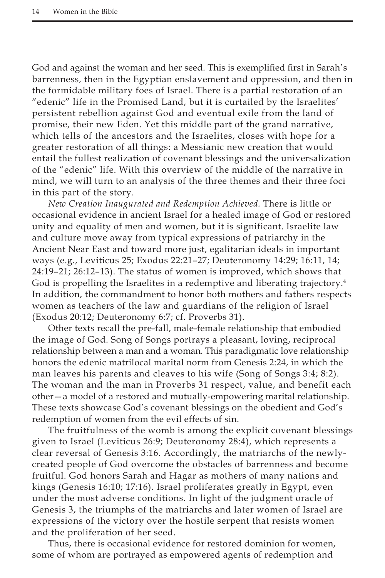God and against the woman and her seed. This is exemplified first in Sarah's barrenness, then in the Egyptian enslavement and oppression, and then in the formidable military foes of Israel. There is a partial restoration of an "edenic" life in the Promised Land, but it is curtailed by the Israelites' persistent rebellion against God and eventual exile from the land of promise, their new Eden. Yet this middle part of the grand narrative, which tells of the ancestors and the Israelites, closes with hope for a greater restoration of all things: a Messianic new creation that would entail the fullest realization of covenant blessings and the universalization of the "edenic" life. With this overview of the middle of the narrative in mind, we will turn to an analysis of the three themes and their three foci in this part of the story.

*New Creation Inaugurated and Redemption Achieved.* There is little or occasional evidence in ancient Israel for a healed image of God or restored unity and equality of men and women, but it is significant. Israelite law and culture move away from typical expressions of patriarchy in the Ancient Near East and toward more just, egalitarian ideals in important ways (e.g., Leviticus 25; Exodus 22:21–27; Deuteronomy 14:29; 16:11, 14; 24:19–21; 26:12–13). The status of women is improved, which shows that God is propelling the Israelites in a redemptive and liberating trajectory.<sup>4</sup> In addition, the commandment to honor both mothers and fathers respects women as teachers of the law and guardians of the religion of Israel (Exodus 20:12; Deuteronomy 6:7; cf. Proverbs 31).

Other texts recall the pre-fall, male-female relationship that embodied the image of God. Song of Songs portrays a pleasant, loving, reciprocal relationship between a man and a woman. This paradigmatic love relationship honors the edenic matrilocal marital norm from Genesis 2:24, in which the man leaves his parents and cleaves to his wife (Song of Songs 3:4; 8:2). The woman and the man in Proverbs 31 respect, value, and benefit each other—a model of a restored and mutually-empowering marital relationship. These texts showcase God's covenant blessings on the obedient and God's redemption of women from the evil effects of sin.

The fruitfulness of the womb is among the explicit covenant blessings given to Israel (Leviticus 26:9; Deuteronomy 28:4), which represents a clear reversal of Genesis 3:16. Accordingly, the matriarchs of the newlycreated people of God overcome the obstacles of barrenness and become fruitful. God honors Sarah and Hagar as mothers of many nations and kings (Genesis 16:10; 17:16). Israel proliferates greatly in Egypt, even under the most adverse conditions. In light of the judgment oracle of Genesis 3, the triumphs of the matriarchs and later women of Israel are expressions of the victory over the hostile serpent that resists women and the proliferation of her seed.

Thus, there is occasional evidence for restored dominion for women, some of whom are portrayed as empowered agents of redemption and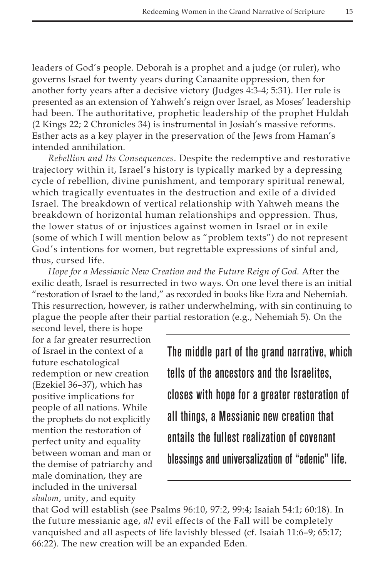leaders of God's people. Deborah is a prophet and a judge (or ruler), who governs Israel for twenty years during Canaanite oppression, then for another forty years after a decisive victory (Judges 4:3-4; 5:31). Her rule is presented as an extension of Yahweh's reign over Israel, as Moses' leadership had been. The authoritative, prophetic leadership of the prophet Huldah (2 Kings 22; 2 Chronicles 34) is instrumental in Josiah's massive reforms. Esther acts as a key player in the preservation of the Jews from Haman's intended annihilation.

*Rebellion and Its Consequences.* Despite the redemptive and restorative trajectory within it, Israel's history is typically marked by a depressing cycle of rebellion, divine punishment, and temporary spiritual renewal, which tragically eventuates in the destruction and exile of a divided Israel. The breakdown of vertical relationship with Yahweh means the breakdown of horizontal human relationships and oppression. Thus, the lower status of or injustices against women in Israel or in exile (some of which I will mention below as "problem texts") do not represent God's intentions for women, but regrettable expressions of sinful and, thus, cursed life.

*Hope for a Messianic New Creation and the Future Reign of God.* After the exilic death, Israel is resurrected in two ways. On one level there is an initial "restoration of Israel to the land," as recorded in books like Ezra and Nehemiah. This resurrection, however, is rather underwhelming, with sin continuing to plague the people after their partial restoration (e.g., Nehemiah 5). On the

second level, there is hope for a far greater resurrection of Israel in the context of a future eschatological redemption or new creation (Ezekiel 36–37), which has positive implications for people of all nations. While the prophets do not explicitly mention the restoration of perfect unity and equality between woman and man or the demise of patriarchy and male domination, they are included in the universal *shalom*, unity, and equity

The middle part of the grand narrative, which tells of the ancestors and the Israelites, closes with hope for a greater restoration of all things, a Messianic new creation that entails the fullest realization of covenant blessings and universalization of "edenic" life.

that God will establish (see Psalms 96:10, 97:2, 99:4; Isaiah 54:1; 60:18). In the future messianic age, *all* evil effects of the Fall will be completely vanquished and all aspects of life lavishly blessed (cf. Isaiah 11:6–9; 65:17; 66:22). The new creation will be an expanded Eden.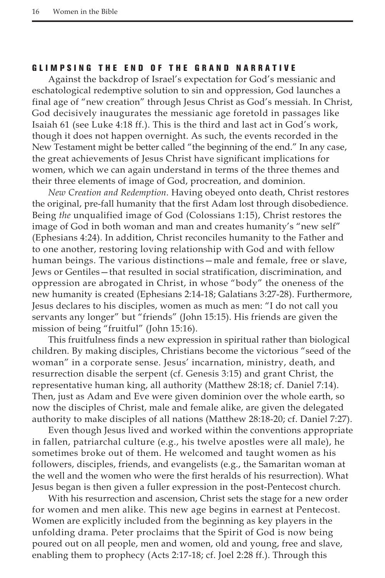### GLIMPSING THE END OF THE GRAND NARRATIVE

Against the backdrop of Israel's expectation for God's messianic and eschatological redemptive solution to sin and oppression, God launches a final age of "new creation" through Jesus Christ as God's messiah. In Christ, God decisively inaugurates the messianic age foretold in passages like Isaiah 61 (see Luke 4:18 ff.). This is the third and last act in God's work, though it does not happen overnight. As such, the events recorded in the New Testament might be better called "the beginning of the end." In any case, the great achievements of Jesus Christ have significant implications for women, which we can again understand in terms of the three themes and their three elements of image of God, procreation, and dominion.

*New Creation and Redemption.* Having obeyed onto death, Christ restores the original, pre-fall humanity that the first Adam lost through disobedience. Being *the* unqualified image of God (Colossians 1:15), Christ restores the image of God in both woman and man and creates humanity's "new self" (Ephesians 4:24). In addition, Christ reconciles humanity to the Father and to one another, restoring loving relationship with God and with fellow human beings. The various distinctions—male and female, free or slave, Jews or Gentiles—that resulted in social stratification, discrimination, and oppression are abrogated in Christ, in whose "body" the oneness of the new humanity is created (Ephesians 2:14-18; Galatians 3:27-28). Furthermore, Jesus declares to his disciples, women as much as men: "I do not call you servants any longer" but "friends" (John 15:15). His friends are given the mission of being "fruitful" (John 15:16).

This fruitfulness finds a new expression in spiritual rather than biological children. By making disciples, Christians become the victorious "seed of the woman" in a corporate sense. Jesus' incarnation, ministry, death, and resurrection disable the serpent (cf. Genesis 3:15) and grant Christ, the representative human king, all authority (Matthew 28:18; cf. Daniel 7:14). Then, just as Adam and Eve were given dominion over the whole earth, so now the disciples of Christ, male and female alike, are given the delegated authority to make disciples of all nations (Matthew 28:18-20; cf. Daniel 7:27).

Even though Jesus lived and worked within the conventions appropriate in fallen, patriarchal culture (e.g., his twelve apostles were all male), he sometimes broke out of them. He welcomed and taught women as his followers, disciples, friends, and evangelists (e.g., the Samaritan woman at the well and the women who were the first heralds of his resurrection). What Jesus began is then given a fuller expression in the post-Pentecost church.

With his resurrection and ascension, Christ sets the stage for a new order for women and men alike. This new age begins in earnest at Pentecost. Women are explicitly included from the beginning as key players in the unfolding drama. Peter proclaims that the Spirit of God is now being poured out on all people, men and women, old and young, free and slave, enabling them to prophecy (Acts 2:17-18; cf. Joel 2:28 ff.). Through this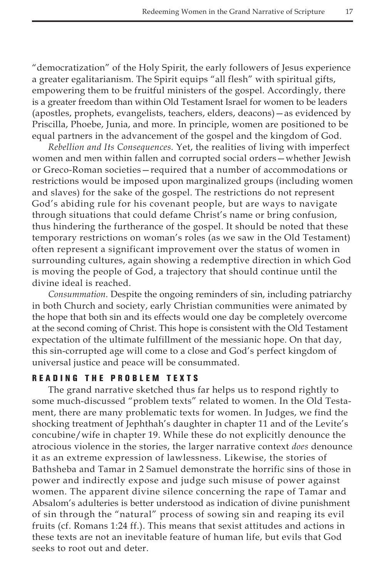"democratization" of the Holy Spirit, the early followers of Jesus experience a greater egalitarianism. The Spirit equips "all flesh" with spiritual gifts, empowering them to be fruitful ministers of the gospel. Accordingly, there is a greater freedom than within Old Testament Israel for women to be leaders (apostles, prophets, evangelists, teachers, elders, deacons)—as evidenced by Priscilla, Phoebe, Junia, and more. In principle, women are positioned to be equal partners in the advancement of the gospel and the kingdom of God.

*Rebellion and Its Consequences.* Yet, the realities of living with imperfect women and men within fallen and corrupted social orders—whether Jewish or Greco-Roman societies—required that a number of accommodations or restrictions would be imposed upon marginalized groups (including women and slaves) for the sake of the gospel. The restrictions do not represent God's abiding rule for his covenant people, but are ways to navigate through situations that could defame Christ's name or bring confusion, thus hindering the furtherance of the gospel. It should be noted that these temporary restrictions on woman's roles (as we saw in the Old Testament) often represent a significant improvement over the status of women in surrounding cultures, again showing a redemptive direction in which God is moving the people of God, a trajectory that should continue until the divine ideal is reached.

*Consummation.* Despite the ongoing reminders of sin, including patriarchy in both Church and society, early Christian communities were animated by the hope that both sin and its effects would one day be completely overcome at the second coming of Christ. This hope is consistent with the Old Testament expectation of the ultimate fulfillment of the messianic hope. On that day, this sin-corrupted age will come to a close and God's perfect kingdom of universal justice and peace will be consummated.

#### READING THE PROBLEM TEXTS

The grand narrative sketched thus far helps us to respond rightly to some much-discussed "problem texts" related to women. In the Old Testament, there are many problematic texts for women. In Judges, we find the shocking treatment of Jephthah's daughter in chapter 11 and of the Levite's concubine/wife in chapter 19. While these do not explicitly denounce the atrocious violence in the stories, the larger narrative context *does* denounce it as an extreme expression of lawlessness. Likewise, the stories of Bathsheba and Tamar in 2 Samuel demonstrate the horrific sins of those in power and indirectly expose and judge such misuse of power against women. The apparent divine silence concerning the rape of Tamar and Absalom's adulteries is better understood as indication of divine punishment of sin through the "natural" process of sowing sin and reaping its evil fruits (cf. Romans 1:24 ff.). This means that sexist attitudes and actions in these texts are not an inevitable feature of human life, but evils that God seeks to root out and deter.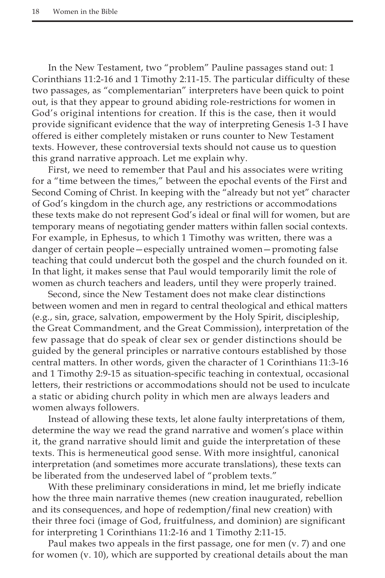In the New Testament, two "problem" Pauline passages stand out: 1 Corinthians 11:2-16 and 1 Timothy 2:11-15. The particular difficulty of these two passages, as "complementarian" interpreters have been quick to point out, is that they appear to ground abiding role-restrictions for women in God's original intentions for creation. If this is the case, then it would provide significant evidence that the way of interpreting Genesis 1-3 I have offered is either completely mistaken or runs counter to New Testament texts. However, these controversial texts should not cause us to question this grand narrative approach. Let me explain why.

First, we need to remember that Paul and his associates were writing for a "time between the times," between the epochal events of the First and Second Coming of Christ. In keeping with the "already but not yet" character of God's kingdom in the church age, any restrictions or accommodations these texts make do not represent God's ideal or final will for women, but are temporary means of negotiating gender matters within fallen social contexts. For example, in Ephesus, to which 1 Timothy was written, there was a danger of certain people—especially untrained women—promoting false teaching that could undercut both the gospel and the church founded on it. In that light, it makes sense that Paul would temporarily limit the role of women as church teachers and leaders, until they were properly trained.

Second, since the New Testament does not make clear distinctions between women and men in regard to central theological and ethical matters (e.g., sin, grace, salvation, empowerment by the Holy Spirit, discipleship, the Great Commandment, and the Great Commission), interpretation of the few passage that do speak of clear sex or gender distinctions should be guided by the general principles or narrative contours established by those central matters. In other words, given the character of 1 Corinthians 11:3-16 and 1 Timothy 2:9-15 as situation-specific teaching in contextual, occasional letters, their restrictions or accommodations should not be used to inculcate a static or abiding church polity in which men are always leaders and women always followers.

Instead of allowing these texts, let alone faulty interpretations of them, determine the way we read the grand narrative and women's place within it, the grand narrative should limit and guide the interpretation of these texts. This is hermeneutical good sense. With more insightful, canonical interpretation (and sometimes more accurate translations), these texts can be liberated from the undeserved label of "problem texts."

With these preliminary considerations in mind, let me briefly indicate how the three main narrative themes (new creation inaugurated, rebellion and its consequences, and hope of redemption/final new creation) with their three foci (image of God, fruitfulness, and dominion) are significant for interpreting 1 Corinthians 11:2-16 and 1 Timothy 2:11-15.

Paul makes two appeals in the first passage, one for men (v. 7) and one for women (v. 10), which are supported by creational details about the man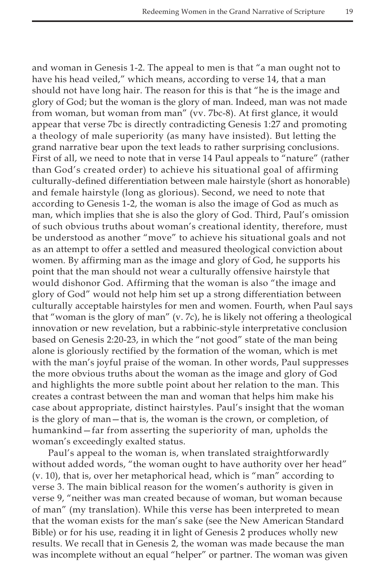and woman in Genesis 1-2. The appeal to men is that "a man ought not to have his head veiled," which means, according to verse 14, that a man should not have long hair. The reason for this is that "he is the image and glory of God; but the woman is the glory of man. Indeed, man was not made from woman, but woman from man" (vv. 7bc-8). At first glance, it would appear that verse 7bc is directly contradicting Genesis 1:27 and promoting a theology of male superiority (as many have insisted). But letting the grand narrative bear upon the text leads to rather surprising conclusions. First of all, we need to note that in verse 14 Paul appeals to "nature" (rather than God's created order) to achieve his situational goal of affirming culturally-defined differentiation between male hairstyle (short as honorable) and female hairstyle (long as glorious). Second, we need to note that according to Genesis 1-2, the woman is also the image of God as much as man, which implies that she is also the glory of God. Third, Paul's omission of such obvious truths about woman's creational identity, therefore, must be understood as another "move" to achieve his situational goals and not as an attempt to offer a settled and measured theological conviction about women. By affirming man as the image and glory of God, he supports his point that the man should not wear a culturally offensive hairstyle that would dishonor God. Affirming that the woman is also "the image and glory of God" would not help him set up a strong differentiation between culturally acceptable hairstyles for men and women. Fourth, when Paul says that "woman is the glory of man" (v. 7c), he is likely not offering a theological innovation or new revelation, but a rabbinic-style interpretative conclusion based on Genesis 2:20-23, in which the "not good" state of the man being alone is gloriously rectified by the formation of the woman, which is met with the man's joyful praise of the woman. In other words, Paul suppresses the more obvious truths about the woman as the image and glory of God and highlights the more subtle point about her relation to the man. This creates a contrast between the man and woman that helps him make his case about appropriate, distinct hairstyles. Paul's insight that the woman is the glory of man—that is, the woman is the crown, or completion, of humankind—far from asserting the superiority of man, upholds the woman's exceedingly exalted status.

Paul's appeal to the woman is, when translated straightforwardly without added words, "the woman ought to have authority over her head" (v. 10), that is, over her metaphorical head, which is "man" according to verse 3. The main biblical reason for the women's authority is given in verse 9, "neither was man created because of woman, but woman because of man" (my translation). While this verse has been interpreted to mean that the woman exists for the man's sake (see the New American Standard Bible) or for his use, reading it in light of Genesis 2 produces wholly new results. We recall that in Genesis 2, the woman was made because the man was incomplete without an equal "helper" or partner. The woman was given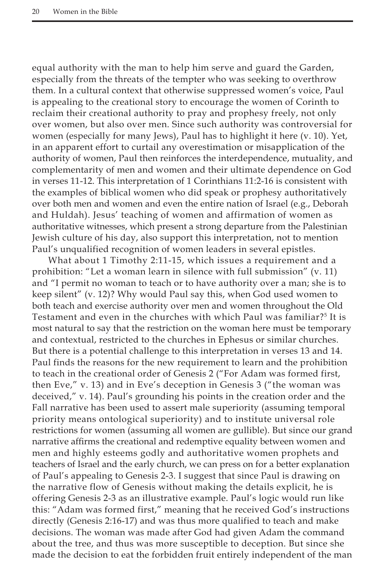equal authority with the man to help him serve and guard the Garden, especially from the threats of the tempter who was seeking to overthrow them. In a cultural context that otherwise suppressed women's voice, Paul is appealing to the creational story to encourage the women of Corinth to reclaim their creational authority to pray and prophesy freely, not only over women, but also over men. Since such authority was controversial for women (especially for many Jews), Paul has to highlight it here (v. 10). Yet, in an apparent effort to curtail any overestimation or misapplication of the authority of women, Paul then reinforces the interdependence, mutuality, and complementarity of men and women and their ultimate dependence on God in verses 11-12. This interpretation of 1 Corinthians 11:2-16 is consistent with the examples of biblical women who did speak or prophesy authoritatively over both men and women and even the entire nation of Israel (e.g., Deborah and Huldah). Jesus' teaching of women and affirmation of women as authoritative witnesses, which present a strong departure from the Palestinian Jewish culture of his day, also support this interpretation, not to mention Paul's unqualified recognition of women leaders in several epistles.

What about 1 Timothy 2:11-15, which issues a requirement and a prohibition: "Let a woman learn in silence with full submission" (v. 11) and "I permit no woman to teach or to have authority over a man; she is to keep silent" (v. 12)? Why would Paul say this, when God used women to both teach and exercise authority over men and women throughout the Old Testament and even in the churches with which Paul was familiar?<sup>5</sup> It is most natural to say that the restriction on the woman here must be temporary and contextual, restricted to the churches in Ephesus or similar churches. But there is a potential challenge to this interpretation in verses 13 and 14. Paul finds the reasons for the new requirement to learn and the prohibition to teach in the creational order of Genesis 2 ("For Adam was formed first, then Eve," v. 13) and in Eve's deception in Genesis 3 ("the woman was deceived," v. 14). Paul's grounding his points in the creation order and the Fall narrative has been used to assert male superiority (assuming temporal priority means ontological superiority) and to institute universal role restrictions for women (assuming all women are gullible). But since our grand narrative affirms the creational and redemptive equality between women and men and highly esteems godly and authoritative women prophets and teachers of Israel and the early church, we can press on for a better explanation of Paul's appealing to Genesis 2-3. I suggest that since Paul is drawing on the narrative flow of Genesis without making the details explicit, he is offering Genesis 2-3 as an illustrative example. Paul's logic would run like this: "Adam was formed first," meaning that he received God's instructions directly (Genesis 2:16-17) and was thus more qualified to teach and make decisions. The woman was made after God had given Adam the command about the tree, and thus was more susceptible to deception. But since she made the decision to eat the forbidden fruit entirely independent of the man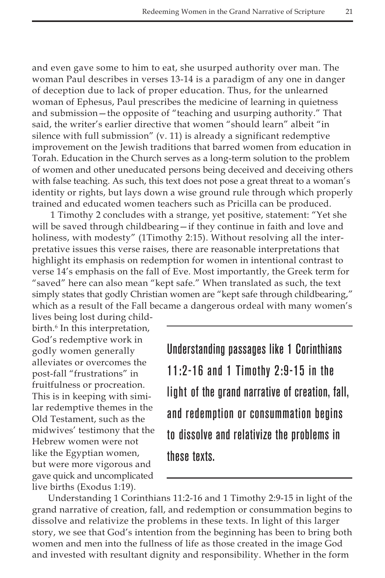and even gave some to him to eat, she usurped authority over man. The woman Paul describes in verses 13-14 is a paradigm of any one in danger of deception due to lack of proper education. Thus, for the unlearned woman of Ephesus, Paul prescribes the medicine of learning in quietness and submission—the opposite of "teaching and usurping authority." That said, the writer's earlier directive that women "should learn" albeit "in silence with full submission" (v. 11) is already a significant redemptive improvement on the Jewish traditions that barred women from education in Torah. Education in the Church serves as a long-term solution to the problem of women and other uneducated persons being deceived and deceiving others with false teaching. As such, this text does not pose a great threat to a woman's identity or rights, but lays down a wise ground rule through which properly trained and educated women teachers such as Pricilla can be produced.

 1 Timothy 2 concludes with a strange, yet positive, statement: "Yet she will be saved through childbearing—if they continue in faith and love and holiness, with modesty" (1Timothy 2:15). Without resolving all the interpretative issues this verse raises, there are reasonable interpretations that highlight its emphasis on redemption for women in intentional contrast to verse 14's emphasis on the fall of Eve. Most importantly, the Greek term for "saved" here can also mean "kept safe." When translated as such, the text simply states that godly Christian women are "kept safe through childbearing," which as a result of the Fall became a dangerous ordeal with many women's

lives being lost during childbirth.<sup>6</sup> In this interpretation, God's redemptive work in godly women generally alleviates or overcomes the post-fall "frustrations" in fruitfulness or procreation. This is in keeping with similar redemptive themes in the Old Testament, such as the midwives' testimony that the Hebrew women were not like the Egyptian women, but were more vigorous and gave quick and uncomplicated live births (Exodus 1:19).

Understanding passages like 1 Corinthians 11:2-16 and 1 Timothy 2:9-15 in the light of the grand narrative of creation, fall, and redemption or consummation begins to dissolve and relativize the problems in these texts.

Understanding 1 Corinthians 11:2-16 and 1 Timothy 2:9-15 in light of the grand narrative of creation, fall, and redemption or consummation begins to dissolve and relativize the problems in these texts. In light of this larger story, we see that God's intention from the beginning has been to bring both women and men into the fullness of life as those created in the image God and invested with resultant dignity and responsibility. Whether in the form